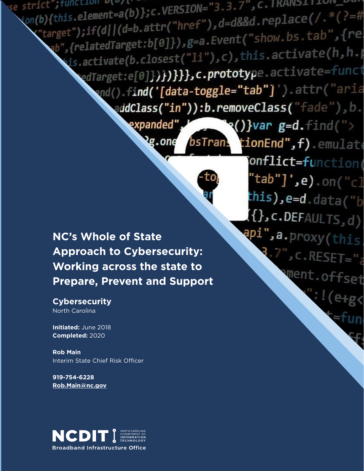strict"; tunction v(v) t  $\frac{1}{2}$  on(b){this.element=a(b)};c.VERSION="3.3.7", C.IRANSIIION\_PON;<br>on(b){this.element=a(b)};c.VERSION="3.3.7", C.IRANSIIION\_PON; b){this.element=a(b)};c.VERSION= 3.3.7<br>"target");if(d||(d=b.attr("href"),d=d&&d.replace(/.\*(?=#<br>"target");if(d||(d=b.attr("href"),d=d&&d.replace(/.\*(?=# arget");if(d||(d=b.attr( nrei );u=uddd::..<br>ab",{relatedTarget:b[0]}),g=a.Event("show.bs.tab",{relatedTarget:b[0]}),g=a.Event("show.bs.tab",{rel ',{relatediarget: b[0]f/;6-didicion<br>his.activate(b.closest("li"),c),this.activate(h,h.) edTarget:e[0]})**})})},c.prototyp**e.activate=funct ond().find('[data-toggle="tab"]').attr("aria addClass("in")):b.removeClass("fade"),b.

bsTran-

expanded"

2g.one

**NC's Whole of State Approach to Cybersecurity: Working across the state to Prepare, Prevent and Support**

### **Cybersecurity** North Carolina

**Initiated:** June 2018 **Completed:** 2020

**Rob Main** Interim State Chief Risk Officer

**919-754-6228 [Rob.Main@nc.gov](mailto:Rob.Main@nc.gov)**



tionEnd",f).emulate onflict=function( "tab"]',e).on("cl this),e=d.data(" $_b$  $\{ \{\}$ , c.DEFAULTS, d) api",a.proxy(this)  $\overline{B}$ . 7", c. RESET=" went.offset  $!$  (e+g $\leftarrow$ 

Ð

 $\mathbf{R}()$ }var g=d.find(">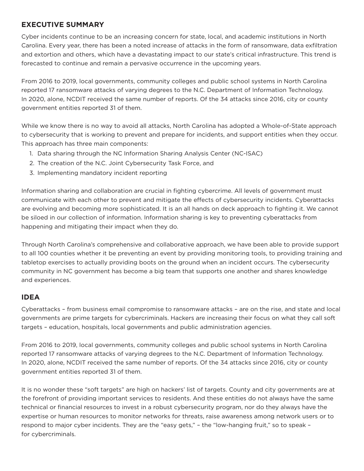# **EXECUTIVE SUMMARY**

Cyber incidents continue to be an increasing concern for state, local, and academic institutions in North Carolina. Every year, there has been a noted increase of attacks in the form of ransomware, data exfiltration and extortion and others, which have a devastating impact to our state's critical infrastructure. This trend is forecasted to continue and remain a pervasive occurrence in the upcoming years.

From 2016 to 2019, local governments, community colleges and public school systems in North Carolina reported 17 ransomware attacks of varying degrees to the N.C. Department of Information Technology. In 2020, alone, NCDIT received the same number of reports. Of the 34 attacks since 2016, city or county government entities reported 31 of them.

While we know there is no way to avoid all attacks, North Carolina has adopted a Whole-of-State approach to cybersecurity that is working to prevent and prepare for incidents, and support entities when they occur. This approach has three main components:

- 1. Data sharing through the NC Information Sharing Analysis Center (NC-ISAC)
- 2. The creation of the N.C. Joint Cybersecurity Task Force, and
- 3. Implementing mandatory incident reporting

Information sharing and collaboration are crucial in fighting cybercrime. All levels of government must communicate with each other to prevent and mitigate the effects of cybersecurity incidents. Cyberattacks are evolving and becoming more sophisticated. It is an all hands on deck approach to fighting it. We cannot be siloed in our collection of information. Information sharing is key to preventing cyberattacks from happening and mitigating their impact when they do.

Through North Carolina's comprehensive and collaborative approach, we have been able to provide support to all 100 counties whether it be preventing an event by providing monitoring tools, to providing training and tabletop exercises to actually providing boots on the ground when an incident occurs. The cybersecurity community in NC government has become a big team that supports one another and shares knowledge and experiences.

# **IDEA**

Cyberattacks – from business email compromise to ransomware attacks – are on the rise, and state and local governments are prime targets for cybercriminals. Hackers are increasing their focus on what they call soft targets – education, hospitals, local governments and public administration agencies.

From 2016 to 2019, local governments, community colleges and public school systems in North Carolina reported 17 ransomware attacks of varying degrees to the N.C. Department of Information Technology. In 2020, alone, NCDIT received the same number of reports. Of the 34 attacks since 2016, city or county government entities reported 31 of them.

It is no wonder these "soft targets" are high on hackers' list of targets. County and city governments are at the forefront of providing important services to residents. And these entities do not always have the same technical or financial resources to invest in a robust cybersecurity program, nor do they always have the expertise or human resources to monitor networks for threats, raise awareness among network users or to respond to major cyber incidents. They are the "easy gets," – the "low-hanging fruit," so to speak – for cybercriminals.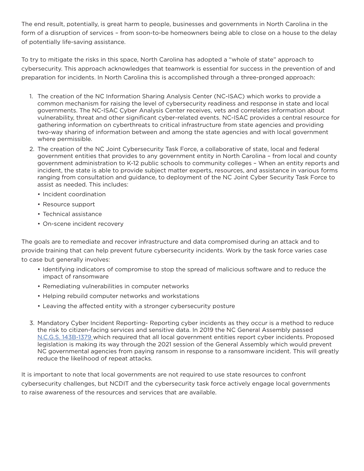The end result, potentially, is great harm to people, businesses and governments in North Carolina in the form of a disruption of services – from soon-to-be homeowners being able to close on a house to the delay of potentially life-saving assistance.

To try to mitigate the risks in this space, North Carolina has adopted a "whole of state" approach to cybersecurity. This approach acknowledges that teamwork is essential for success in the prevention of and preparation for incidents. In North Carolina this is accomplished through a three-pronged approach:

- 1. The creation of the NC Information Sharing Analysis Center (NC-ISAC) which works to provide a common mechanism for raising the level of cybersecurity readiness and response in state and local governments. The NC-ISAC Cyber Analysis Center receives, vets and correlates information about vulnerability, threat and other significant cyber-related events. NC-ISAC provides a central resource for gathering information on cyberthreats to critical infrastructure from state agencies and providing two-way sharing of information between and among the state agencies and with local government where permissible.
- 2. The creation of the NC Joint Cybersecurity Task Force, a collaborative of state, local and federal government entities that provides to any government entity in North Carolina – from local and county government administration to K-12 public schools to community colleges – When an entity reports and incident, the state is able to provide subject matter experts, resources, and assistance in various forms ranging from consultation and guidance, to deployment of the NC Joint Cyber Security Task Force to assist as needed. This includes:
	- Incident coordination
	- Resource support
	- Technical assistance
	- On-scene incident recovery

The goals are to remediate and recover infrastructure and data compromised during an attack and to provide training that can help prevent future cybersecurity incidents. Work by the task force varies case to case but generally involves:

- Identifying indicators of compromise to stop the spread of malicious software and to reduce the impact of ransomware
- Remediating vulnerabilities in computer networks
- Helping rebuild computer networks and workstations
- Leaving the affected entity with a stronger cybersecurity posture
- 3. Mandatory Cyber Incident Reporting- Reporting cyber incidents as they occur is a method to reduce the risk to citizen-facing services and sensitive data. In 2019 the NC General Assembly passed [N.C.G.S. 143B-1379 w](https://www.ncleg.gov/EnactedLegislation/Statutes/HTML/BySection/Chapter_143B/GS_143B-1379.html)hich required that all local government entities report cyber incidents. Proposed legislation is making its way through the 2021 session of the General Assembly which would prevent NC governmental agencies from paying ransom in response to a ransomware incident. This will greatly reduce the likelihood of repeat attacks.

It is important to note that local governments are not required to use state resources to confront cybersecurity challenges, but NCDIT and the cybersecurity task force actively engage local governments to raise awareness of the resources and services that are available.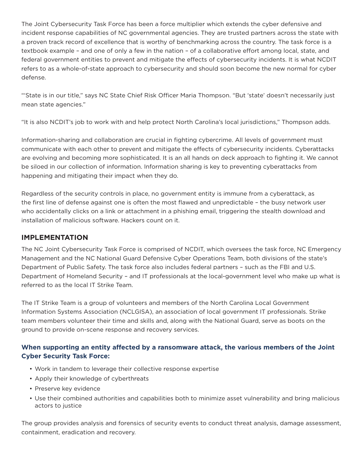The Joint Cybersecurity Task Force has been a force multiplier which extends the cyber defensive and incident response capabilities of NC governmental agencies. They are trusted partners across the state with a proven track record of excellence that is worthy of benchmarking across the country. The task force is a textbook example – and one of only a few in the nation – of a collaborative effort among local, state, and federal government entities to prevent and mitigate the effects of cybersecurity incidents. It is what NCDIT refers to as a whole-of-state approach to cybersecurity and should soon become the new normal for cyber defense.

"'State is in our title," says NC State Chief Risk Officer Maria Thompson. "But 'state' doesn't necessarily just mean state agencies."

"It is also NCDIT's job to work with and help protect North Carolina's local jurisdictions," Thompson adds.

Information-sharing and collaboration are crucial in fighting cybercrime. All levels of government must communicate with each other to prevent and mitigate the effects of cybersecurity incidents. Cyberattacks are evolving and becoming more sophisticated. It is an all hands on deck approach to fighting it. We cannot be siloed in our collection of information. Information sharing is key to preventing cyberattacks from happening and mitigating their impact when they do.

Regardless of the security controls in place, no government entity is immune from a cyberattack, as the first line of defense against one is often the most flawed and unpredictable – the busy network user who accidentally clicks on a link or attachment in a phishing email, triggering the stealth download and installation of malicious software. Hackers count on it.

# **IMPLEMENTATION**

The NC Joint Cybersecurity Task Force is comprised of NCDIT, which oversees the task force, NC Emergency Management and the NC National Guard Defensive Cyber Operations Team, both divisions of the state's Department of Public Safety. The task force also includes federal partners – such as the FBI and U.S. Department of Homeland Security – and IT professionals at the local-government level who make up what is referred to as the local IT Strike Team.

The IT Strike Team is a group of volunteers and members of the North Carolina Local Government Information Systems Association (NCLGISA), an association of local government IT professionals. Strike team members volunteer their time and skills and, along with the National Guard, serve as boots on the ground to provide on-scene response and recovery services.

# **When supporting an entity affected by a ransomware attack, the various members of the Joint Cyber Security Task Force:**

- Work in tandem to leverage their collective response expertise
- Apply their knowledge of cyberthreats
- Preserve key evidence
- Use their combined authorities and capabilities both to minimize asset vulnerability and bring malicious actors to justice

The group provides analysis and forensics of security events to conduct threat analysis, damage assessment, containment, eradication and recovery.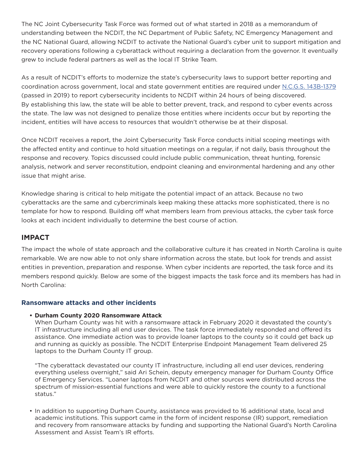The NC Joint Cybersecurity Task Force was formed out of what started in 2018 as a memorandum of understanding between the NCDIT, the NC Department of Public Safety, NC Emergency Management and the NC National Guard, allowing NCDIT to activate the National Guard's cyber unit to support mitigation and recovery operations following a cyberattack without requiring a declaration from the governor. It eventually grew to include federal partners as well as the local IT Strike Team.

As a result of NCDIT's efforts to modernize the state's cybersecurity laws to support better reporting and coordination across government, local and state government entities are required under [N.C.G.S. 143B-1379](https://www.ncleg.gov/EnactedLegislation/Statutes/HTML/BySection/Chapter_143B/GS_143B-1379.html) (passed in 2019) to report cybersecurity incidents to NCDIT within 24 hours of being discovered. By establishing this law, the state will be able to better prevent, track, and respond to cyber events across the state. The law was not designed to penalize those entities where incidents occur but by reporting the incident, entities will have access to resources that wouldn't otherwise be at their disposal.

Once NCDIT receives a report, the Joint Cybersecurity Task Force conducts initial scoping meetings with the affected entity and continue to hold situation meetings on a regular, if not daily, basis throughout the response and recovery. Topics discussed could include public communication, threat hunting, forensic analysis, network and server reconstitution, endpoint cleaning and environmental hardening and any other issue that might arise.

Knowledge sharing is critical to help mitigate the potential impact of an attack. Because no two cyberattacks are the same and cybercriminals keep making these attacks more sophisticated, there is no template for how to respond. Building off what members learn from previous attacks, the cyber task force looks at each incident individually to determine the best course of action.

## **IMPACT**

The impact the whole of state approach and the collaborative culture it has created in North Carolina is quite remarkable. We are now able to not only share information across the state, but look for trends and assist entities in prevention, preparation and response. When cyber incidents are reported, the task force and its members respond quickly. Below are some of the biggest impacts the task force and its members has had in North Carolina:

#### **Ransomware attacks and other incidents**

#### **• Durham County 2020 Ransomware Attack**

When Durham County was hit with a ransomware attack in February 2020 it devastated the county's IT infrastructure including all end user devices. The task force immediately responded and offered its assistance. One immediate action was to provide loaner laptops to the county so it could get back up and running as quickly as possible. The NCDIT Enterprise Endpoint Management Team delivered 25 laptops to the Durham County IT group.

"The cyberattack devastated our county IT infrastructure, including all end user devices, rendering everything useless overnight," said Ari Schein, deputy emergency manager for Durham County Office of Emergency Services. "Loaner laptops from NCDIT and other sources were distributed across the spectrum of mission-essential functions and were able to quickly restore the county to a functional status."

• In addition to supporting Durham County, assistance was provided to 16 additional state, local and academic institutions. This support came in the form of incident response (IR) support, remediation and recovery from ransomware attacks by funding and supporting the National Guard's North Carolina Assessment and Assist Team's IR efforts.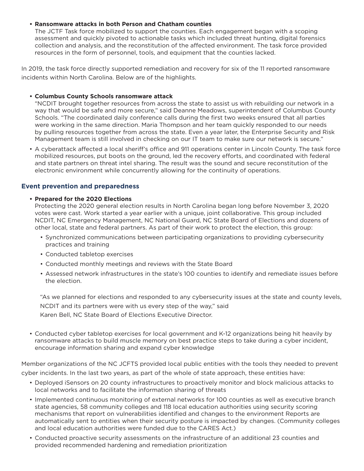#### **• Ransomware attacks in both Person and Chatham counties**

The JCTF Task force mobilized to support the counties. Each engagement began with a scoping assessment and quickly pivoted to actionable tasks which included threat hunting, digital forensics collection and analysis, and the reconstitution of the affected environment. The task force provided resources in the form of personnel, tools, and equipment that the counties lacked.

In 2019, the task force directly supported remediation and recovery for six of the 11 reported ransomware incidents within North Carolina. Below are of the highlights.

#### **• Columbus County Schools ransomware attack**

"NCDIT brought together resources from across the state to assist us with rebuilding our network in a way that would be safe and more secure," said Deanne Meadows, superintendent of Columbus County Schools. "The coordinated daily conference calls during the first two weeks ensured that all parties were working in the same direction. Maria Thompson and her team quickly responded to our needs by pulling resources together from across the state. Even a year later, the Enterprise Security and Risk Management team is still involved in checking on our IT team to make sure our network is secure."

• A cyberattack affected a local sheriff's office and 911 operations center in Lincoln County. The task force mobilized resources, put boots on the ground, led the recovery efforts, and coordinated with federal and state partners on threat intel sharing. The result was the sound and secure reconstitution of the electronic environment while concurrently allowing for the continuity of operations.

### **Event prevention and preparedness**

#### **• Prepared for the 2020 Elections**

Protecting the 2020 general election results in North Carolina began long before November 3, 2020 votes were cast. Work started a year earlier with a unique, joint collaborative. This group included NCDIT, NC Emergency Management, NC National Guard, NC State Board of Elections and dozens of other local, state and federal partners. As part of their work to protect the election, this group:

- Synchronized communications between participating organizations to providing cybersecurity practices and training
- Conducted tabletop exercises
- Conducted monthly meetings and reviews with the State Board
- Assessed network infrastructures in the state's 100 counties to identify and remediate issues before the election.

"As we planned for elections and responded to any cybersecurity issues at the state and county levels, NCDIT and its partners were with us every step of the way," said Karen Bell, NC State Board of Elections Executive Director.

• Conducted cyber tabletop exercises for local government and K-12 organizations being hit heavily by ransomware attacks to build muscle memory on best practice steps to take during a cyber incident, encourage information sharing and expand cyber knowledge

Member organizations of the NC JCFTS provided local public entities with the tools they needed to prevent cyber incidents. In the last two years, as part of the whole of state approach, these entities have:

- Deployed iSensors on 20 county infrastructures to proactively monitor and block malicious attacks to local networks and to facilitate the information sharing of threats
- Implemented continuous monitoring of external networks for 100 counties as well as executive branch state agencies, 58 community colleges and 118 local education authorities using security scoring mechanisms that report on vulnerabilities identified and changes to the environment Reports are automatically sent to entities when their security posture is impacted by changes. (Community colleges and local education authorities were funded due to the CARES Act.)
- Conducted proactive security assessments on the infrastructure of an additional 23 counties and provided recommended hardening and remediation prioritization